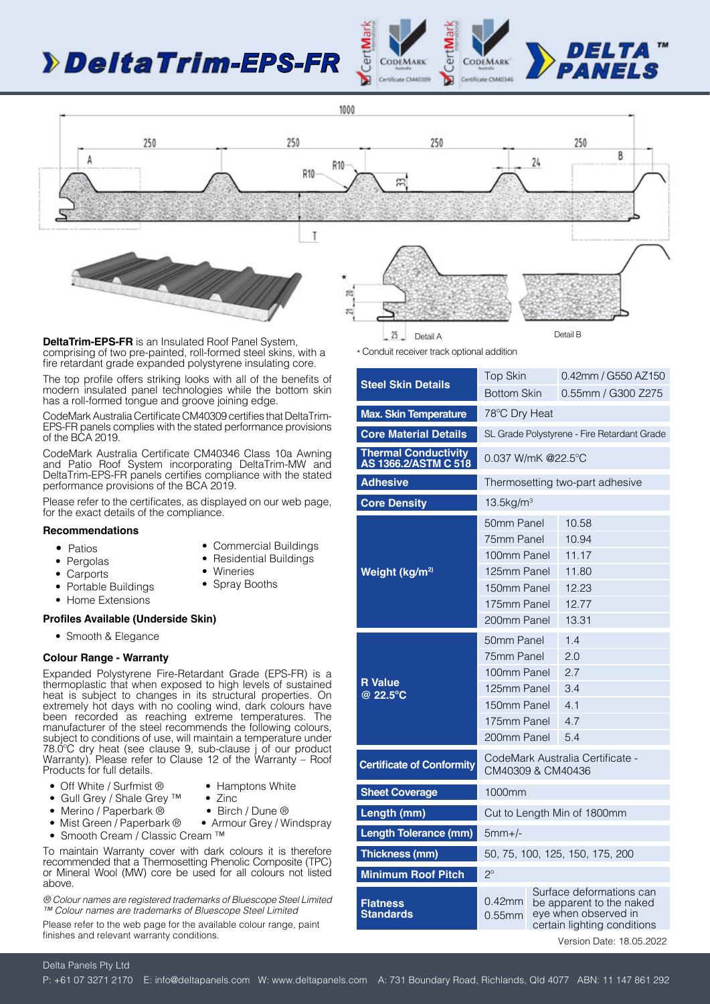# *-EPS-FR*







**DeltaTrim-EPS-FR** is an Insulated Roof Panel System, comprising of two pre-painted, roll-formed steel skins, with a fire retardant grade expanded polystyrene insulating core.

The top profile offers striking looks with all of the benefits of modern insulated panel technologies while the bottom skin has a roll-formed tongue and groove joining edge.

CodeMark Australia Certificate CM40309 certifies that DeltaTrim-EPS-FR panels complies with the stated performance provisions of the BCA 2019.

CodeMark Australia Certificate CM40346 Class 10a Awning and Patio Roof System incorporating DeltaTrim-MW and DeltaTrim-EPS-FR panels certifies compliance with the stated performance provisions of the BCA 2019.

Please refer to the certificates, as displayed on our web page, for the exact details of the compliance.

#### **Recommendations**

• Patios

• Carports

- Commercial Buildings
- Pergolas
- Residential Buildings • Wineries
- 
- Spray Booths
- Portable Buildings • Home Extensions

#### **Profiles Available (Underside Skin)**

• Smooth & Elegance

#### **Colour Range - Warranty**

Expanded Polystyrene Fire-Retardant Grade (EPS-FR) is a thermoplastic that when exposed to high levels of sustained heat is subject to changes in its structural properties. On extremely hot days with no cooling wind, dark colours have been recorded as reaching extreme temperatures. The manufacturer of the steel recommends the following colours, subject to conditions of use, will maintain a temperature under 78.0ºC dry heat (see clause 9, sub-clause j of our product Warranty). Please refer to Clause 12 of the Warranty – Roof Products for full details.

- 
- Off White / Surfmist ® Hamptons White
	-
- Gull Grey / Shale Grey ™ Zinc<br>• Merino / Paperbark ® Birch / Dune ® • Armour Grey / Windspray
- Merino / Paperbark ®<br>• Mist Green / Paperbark ®
- Smooth Cream / Classic Cream ™

To maintain Warranty cover with dark colours it is therefore recommended that a Thermosetting Phenolic Composite (TPC) or Mineral Wool (MW) core be used for all colours not listed above.

*® Colour names are registered trademarks of Bluescope Steel Limited ™ Colour names are trademarks of Bluescope Steel Limited*

Please refer to the web page for the available colour range, paint finishes and relevant warranty conditions.

| * Conduit receiver track optional addition |  |  |
|--------------------------------------------|--|--|

|                                                     | <b>Top Skin</b>                                       |                                                                                 | 0.42mm / G550 AZ150                         |  |
|-----------------------------------------------------|-------------------------------------------------------|---------------------------------------------------------------------------------|---------------------------------------------|--|
| <b>Steel Skin Details</b>                           |                                                       |                                                                                 | 0.55mm / G300 Z275                          |  |
|                                                     | <b>Bottom Skin</b>                                    |                                                                                 |                                             |  |
| <b>Max. Skin Temperature</b>                        | 78°C Dry Heat                                         |                                                                                 |                                             |  |
| <b>Core Material Details</b>                        |                                                       |                                                                                 | SL Grade Polystyrene - Fire Retardant Grade |  |
| <b>Thermal Conductivity</b><br>AS 1366.2/ASTM C 518 | 0.037 W/mK @22.5°C                                    |                                                                                 |                                             |  |
| <b>Adhesive</b>                                     |                                                       |                                                                                 | Thermosetting two-part adhesive             |  |
| <b>Core Density</b>                                 | $13.5$ kg/m <sup>3</sup>                              |                                                                                 |                                             |  |
|                                                     | 50mm Panel                                            |                                                                                 | 10.58                                       |  |
|                                                     | 75mm Panel                                            |                                                                                 | 10.94                                       |  |
|                                                     | 100mm Panel                                           |                                                                                 | 11.17                                       |  |
| Weight (kg/m <sup>2)</sup>                          | 125mm Panel                                           |                                                                                 | 11.80                                       |  |
|                                                     | 150mm Panel                                           |                                                                                 | 12.23                                       |  |
|                                                     | 175mm Panel                                           |                                                                                 | 12.77                                       |  |
|                                                     | 200mm Panel                                           |                                                                                 | 13.31                                       |  |
|                                                     | 50mm Panel                                            |                                                                                 | 1.4                                         |  |
|                                                     | 75mm Panel                                            |                                                                                 | 2.0                                         |  |
| <b>R</b> Value                                      | 100mm Panel                                           |                                                                                 | 2.7                                         |  |
| @ 22.5°C                                            | 125mm Panel                                           |                                                                                 | 3.4                                         |  |
|                                                     | 150mm Panel                                           |                                                                                 | 4.1                                         |  |
|                                                     | 175mm Panel                                           |                                                                                 | 4.7                                         |  |
|                                                     | 200mm Panel                                           |                                                                                 | 5.4                                         |  |
| <b>Certificate of Conformity</b>                    | CodeMark Australia Certificate -<br>CM40309 & CM40436 |                                                                                 |                                             |  |
| <b>Sheet Coverage</b>                               | 1000mm                                                |                                                                                 |                                             |  |
| Length (mm)                                         | Cut to Length Min of 1800mm                           |                                                                                 |                                             |  |
| <b>Length Tolerance (mm)</b>                        | $5mm+/-$                                              |                                                                                 |                                             |  |
| Thickness (mm)                                      | 50, 75, 100, 125, 150, 175, 200                       |                                                                                 |                                             |  |
| <b>Minimum Roof Pitch</b>                           | $2^{\circ}$                                           |                                                                                 |                                             |  |
|                                                     | Surface deformations can                              |                                                                                 |                                             |  |
| <b>Flatness</b><br><b>Standards</b>                 | $0.42$ mm<br>$0.55$ mm                                | be apparent to the naked<br>eye when observed in<br>certain lighting conditions |                                             |  |
|                                                     |                                                       |                                                                                 | Version Date: 18.05.2022                    |  |

### Delta Panels Pty Ltd